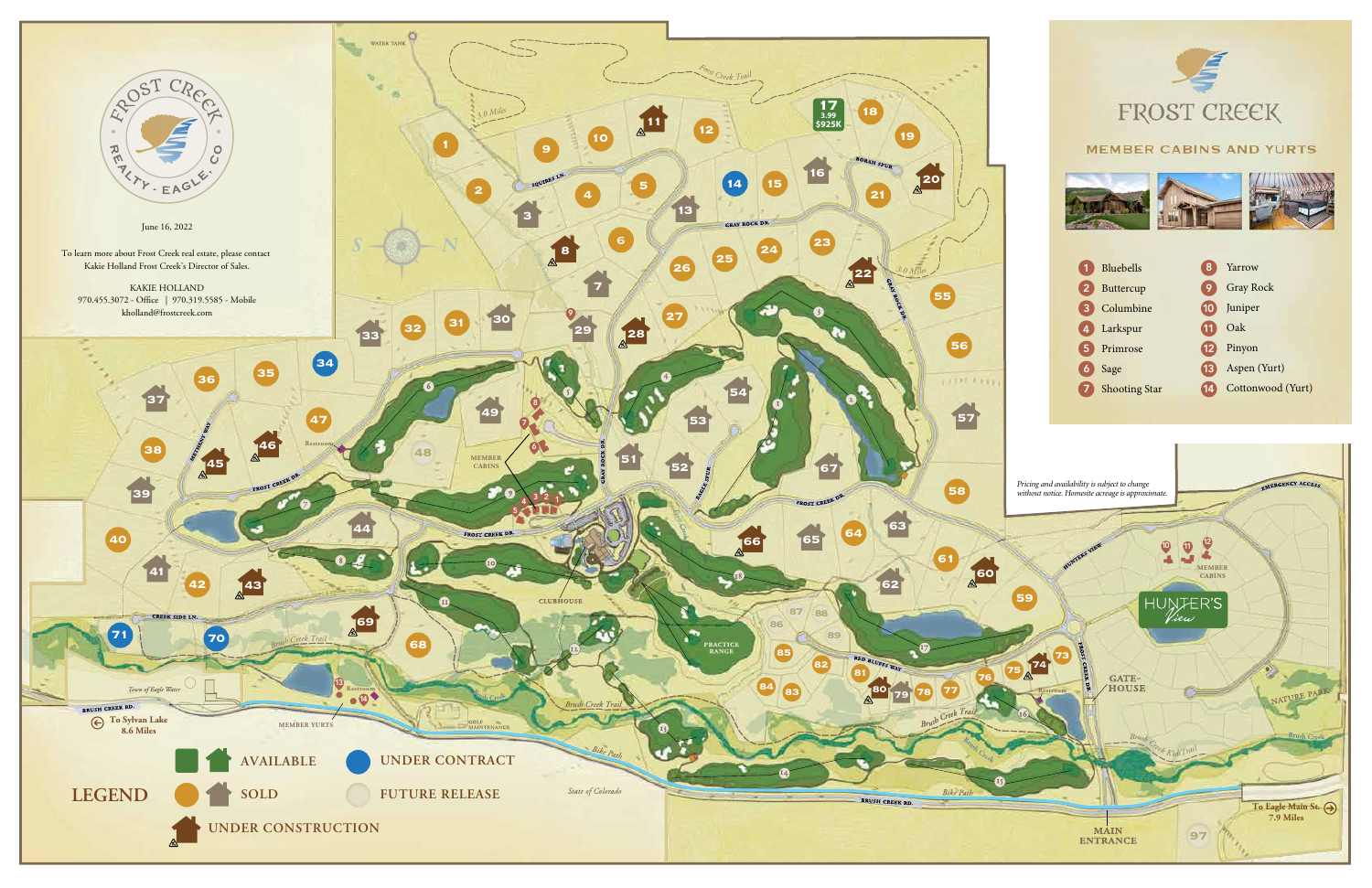